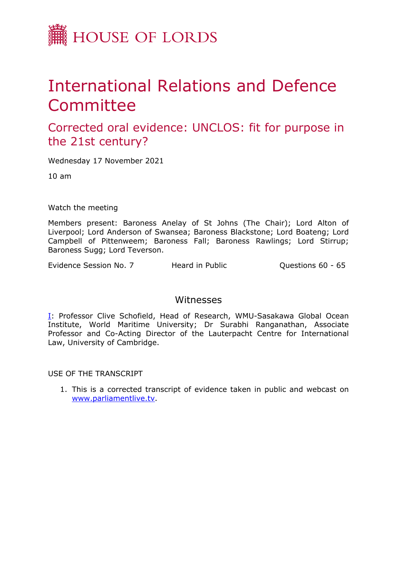

## International Relations and Defence **Committee**

Corrected oral evidence: UNCLOS: fit for purpose in the 21st century?

Wednesday 17 November 2021

10 am

Watch the meeting

Members present: Baroness Anelay of St Johns (The Chair); Lord Alton of Liverpool; Lord Anderson of Swansea; Baroness Blackstone; Lord Boateng; Lord Campbell of Pittenweem; Baroness Fall; Baroness Rawlings; Lord Stirrup; Baroness Sugg; Lord Teverson.

Evidence Session No. 7 Theard in Public Theorem Cuestions 60 - 65

## Witnesses

[I:](#page-1-0) Professor Clive Schofield, Head of Research, WMU-Sasakawa Global Ocean Institute, World Maritime University; Dr Surabhi Ranganathan, Associate Professor and Co-Acting Director of the Lauterpacht Centre for International Law, University of Cambridge.

USE OF THE TRANSCRIPT

1. This is a corrected transcript of evidence taken in public and webcast on [www.parliamentlive.tv](http://www.parliamentlive.tv/).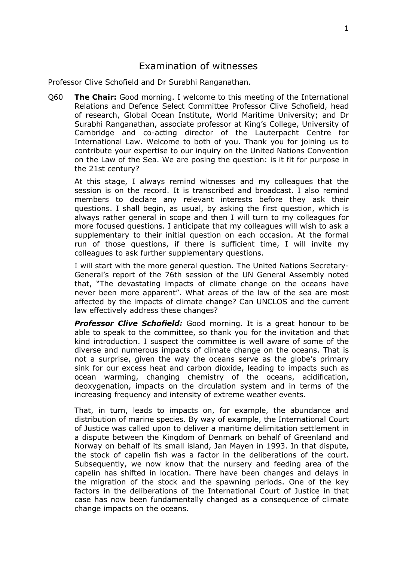## <span id="page-1-0"></span>Examination of witnesses

Professor Clive Schofield and Dr Surabhi Ranganathan.

Q60 **The Chair:** Good morning. I welcome to this meeting of the International Relations and Defence Select Committee Professor Clive Schofield, head of research, Global Ocean Institute, World Maritime University; and Dr Surabhi Ranganathan, associate professor at King's College, University of Cambridge and co-acting director of the Lauterpacht Centre for International Law. Welcome to both of you. Thank you for joining us to contribute your expertise to our inquiry on the United Nations Convention on the Law of the Sea. We are posing the question: is it fit for purpose in the 21st century?

At this stage, I always remind witnesses and my colleagues that the session is on the record. It is transcribed and broadcast. I also remind members to declare any relevant interests before they ask their questions. I shall begin, as usual, by asking the first question, which is always rather general in scope and then I will turn to my colleagues for more focused questions. I anticipate that my colleagues will wish to ask a supplementary to their initial question on each occasion. At the formal run of those questions, if there is sufficient time, I will invite my colleagues to ask further supplementary questions.

I will start with the more general question. The United Nations Secretary-General's report of the 76th session of the UN General Assembly noted that, "The devastating impacts of climate change on the oceans have never been more apparent". What areas of the law of the sea are most affected by the impacts of climate change? Can UNCLOS and the current law effectively address these changes?

*Professor Clive Schofield:* Good morning. It is a great honour to be able to speak to the committee, so thank you for the invitation and that kind introduction. I suspect the committee is well aware of some of the diverse and numerous impacts of climate change on the oceans. That is not a surprise, given the way the oceans serve as the globe's primary sink for our excess heat and carbon dioxide, leading to impacts such as ocean warming, changing chemistry of the oceans, acidification, deoxygenation, impacts on the circulation system and in terms of the increasing frequency and intensity of extreme weather events.

That, in turn, leads to impacts on, for example, the abundance and distribution of marine species. By way of example, the International Court of Justice was called upon to deliver a maritime delimitation settlement in a dispute between the Kingdom of Denmark on behalf of Greenland and Norway on behalf of its small island, Jan Mayen in 1993. In that dispute, the stock of capelin fish was a factor in the deliberations of the court. Subsequently, we now know that the nursery and feeding area of the capelin has shifted in location. There have been changes and delays in the migration of the stock and the spawning periods. One of the key factors in the deliberations of the International Court of Justice in that case has now been fundamentally changed as a consequence of climate change impacts on the oceans.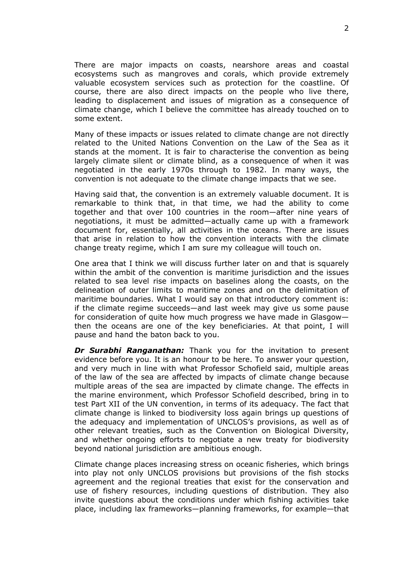There are major impacts on coasts, nearshore areas and coastal ecosystems such as mangroves and corals, which provide extremely valuable ecosystem services such as protection for the coastline. Of course, there are also direct impacts on the people who live there, leading to displacement and issues of migration as a consequence of climate change, which I believe the committee has already touched on to some extent.

Many of these impacts or issues related to climate change are not directly related to the United Nations Convention on the Law of the Sea as it stands at the moment. It is fair to characterise the convention as being largely climate silent or climate blind, as a consequence of when it was negotiated in the early 1970s through to 1982. In many ways, the convention is not adequate to the climate change impacts that we see.

Having said that, the convention is an extremely valuable document. It is remarkable to think that, in that time, we had the ability to come together and that over 100 countries in the room—after nine years of negotiations, it must be admitted—actually came up with a framework document for, essentially, all activities in the oceans. There are issues that arise in relation to how the convention interacts with the climate change treaty regime, which I am sure my colleague will touch on.

One area that I think we will discuss further later on and that is squarely within the ambit of the convention is maritime jurisdiction and the issues related to sea level rise impacts on baselines along the coasts, on the delineation of outer limits to maritime zones and on the delimitation of maritime boundaries. What I would say on that introductory comment is: if the climate regime succeeds—and last week may give us some pause for consideration of quite how much progress we have made in Glasgow then the oceans are one of the key beneficiaries. At that point, I will pause and hand the baton back to you.

*Dr Surabhi Ranganathan:* Thank you for the invitation to present evidence before you. It is an honour to be here. To answer your question, and very much in line with what Professor Schofield said, multiple areas of the law of the sea are affected by impacts of climate change because multiple areas of the sea are impacted by climate change. The effects in the marine environment, which Professor Schofield described, bring in to test Part XII of the UN convention, in terms of its adequacy. The fact that climate change is linked to biodiversity loss again brings up questions of the adequacy and implementation of UNCLOS's provisions, as well as of other relevant treaties, such as the Convention on Biological Diversity, and whether ongoing efforts to negotiate a new treaty for biodiversity beyond national jurisdiction are ambitious enough.

Climate change places increasing stress on oceanic fisheries, which brings into play not only UNCLOS provisions but provisions of the fish stocks agreement and the regional treaties that exist for the conservation and use of fishery resources, including questions of distribution. They also invite questions about the conditions under which fishing activities take place, including lax frameworks—planning frameworks, for example—that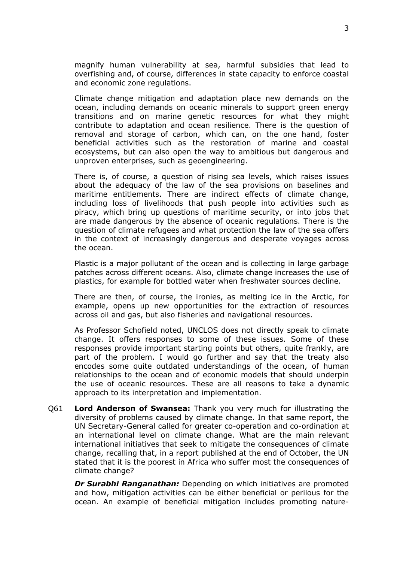magnify human vulnerability at sea, harmful subsidies that lead to overfishing and, of course, differences in state capacity to enforce coastal and economic zone regulations.

Climate change mitigation and adaptation place new demands on the ocean, including demands on oceanic minerals to support green energy transitions and on marine genetic resources for what they might contribute to adaptation and ocean resilience. There is the question of removal and storage of carbon, which can, on the one hand, foster beneficial activities such as the restoration of marine and coastal ecosystems, but can also open the way to ambitious but dangerous and unproven enterprises, such as geoengineering.

There is, of course, a question of rising sea levels, which raises issues about the adequacy of the law of the sea provisions on baselines and maritime entitlements. There are indirect effects of climate change, including loss of livelihoods that push people into activities such as piracy, which bring up questions of maritime security, or into jobs that are made dangerous by the absence of oceanic regulations. There is the question of climate refugees and what protection the law of the sea offers in the context of increasingly dangerous and desperate voyages across the ocean.

Plastic is a major pollutant of the ocean and is collecting in large garbage patches across different oceans. Also, climate change increases the use of plastics, for example for bottled water when freshwater sources decline.

There are then, of course, the ironies, as melting ice in the Arctic, for example, opens up new opportunities for the extraction of resources across oil and gas, but also fisheries and navigational resources.

As Professor Schofield noted, UNCLOS does not directly speak to climate change. It offers responses to some of these issues. Some of these responses provide important starting points but others, quite frankly, are part of the problem. I would go further and say that the treaty also encodes some quite outdated understandings of the ocean, of human relationships to the ocean and of economic models that should underpin the use of oceanic resources. These are all reasons to take a dynamic approach to its interpretation and implementation.

Q61 **Lord Anderson of Swansea:** Thank you very much for illustrating the diversity of problems caused by climate change. In that same report, the UN Secretary-General called for greater co-operation and co-ordination at an international level on climate change. What are the main relevant international initiatives that seek to mitigate the consequences of climate change, recalling that, in a report published at the end of October, the UN stated that it is the poorest in Africa who suffer most the consequences of climate change?

*Dr Surabhi Ranganathan:* Depending on which initiatives are promoted and how, mitigation activities can be either beneficial or perilous for the ocean. An example of beneficial mitigation includes promoting nature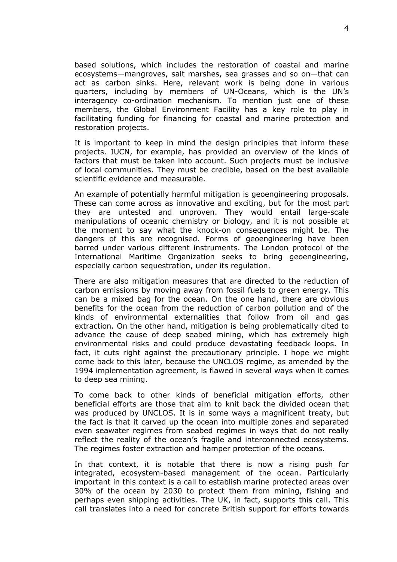based solutions, which includes the restoration of coastal and marine ecosystems—mangroves, salt marshes, sea grasses and so on—that can act as carbon sinks. Here, relevant work is being done in various quarters, including by members of UN-Oceans, which is the UN's interagency co-ordination mechanism. To mention just one of these members, the Global Environment Facility has a key role to play in facilitating funding for financing for coastal and marine protection and restoration projects.

It is important to keep in mind the design principles that inform these projects. IUCN, for example, has provided an overview of the kinds of factors that must be taken into account. Such projects must be inclusive of local communities. They must be credible, based on the best available scientific evidence and measurable.

An example of potentially harmful mitigation is geoengineering proposals. These can come across as innovative and exciting, but for the most part they are untested and unproven. They would entail large-scale manipulations of oceanic chemistry or biology, and it is not possible at the moment to say what the knock-on consequences might be. The dangers of this are recognised. Forms of geoengineering have been barred under various different instruments. The London protocol of the International Maritime Organization seeks to bring geoengineering, especially carbon sequestration, under its regulation.

There are also mitigation measures that are directed to the reduction of carbon emissions by moving away from fossil fuels to green energy. This can be a mixed bag for the ocean. On the one hand, there are obvious benefits for the ocean from the reduction of carbon pollution and of the kinds of environmental externalities that follow from oil and gas extraction. On the other hand, mitigation is being problematically cited to advance the cause of deep seabed mining, which has extremely high environmental risks and could produce devastating feedback loops. In fact, it cuts right against the precautionary principle. I hope we might come back to this later, because the UNCLOS regime, as amended by the 1994 implementation agreement, is flawed in several ways when it comes to deep sea mining.

To come back to other kinds of beneficial mitigation efforts, other beneficial efforts are those that aim to knit back the divided ocean that was produced by UNCLOS. It is in some ways a magnificent treaty, but the fact is that it carved up the ocean into multiple zones and separated even seawater regimes from seabed regimes in ways that do not really reflect the reality of the ocean's fragile and interconnected ecosystems. The regimes foster extraction and hamper protection of the oceans.

In that context, it is notable that there is now a rising push for integrated, ecosystem-based management of the ocean. Particularly important in this context is a call to establish marine protected areas over 30% of the ocean by 2030 to protect them from mining, fishing and perhaps even shipping activities. The UK, in fact, supports this call. This call translates into a need for concrete British support for efforts towards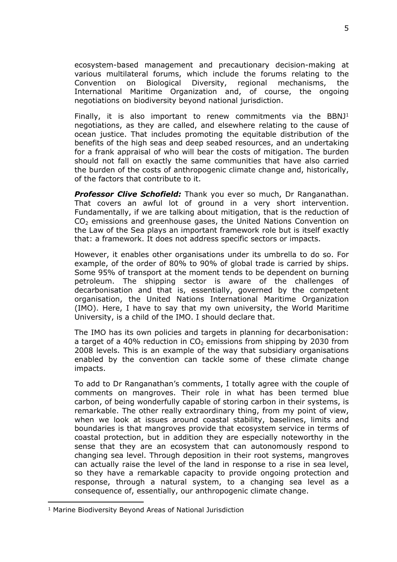ecosystem-based management and precautionary decision-making at various multilateral forums, which include the forums relating to the Convention on Biological Diversity, regional mechanisms, the International Maritime Organization and, of course, the ongoing negotiations on biodiversity beyond national jurisdiction.

Finally, it is also important to renew commitments via the BBNJ<sup>1</sup> negotiations, as they are called, and elsewhere relating to the cause of ocean justice. That includes promoting the equitable distribution of the benefits of the high seas and deep seabed resources, and an undertaking for a frank appraisal of who will bear the costs of mitigation. The burden should not fall on exactly the same communities that have also carried the burden of the costs of anthropogenic climate change and, historically, of the factors that contribute to it.

*Professor Clive Schofield:* Thank you ever so much, Dr Ranganathan. That covers an awful lot of ground in a very short intervention. Fundamentally, if we are talking about mitigation, that is the reduction of  $CO<sub>2</sub>$  emissions and greenhouse gases, the United Nations Convention on the Law of the Sea plays an important framework role but is itself exactly that: a framework. It does not address specific sectors or impacts.

However, it enables other organisations under its umbrella to do so. For example, of the order of 80% to 90% of global trade is carried by ships. Some 95% of transport at the moment tends to be dependent on burning petroleum. The shipping sector is aware of the challenges of decarbonisation and that is, essentially, governed by the competent organisation, the United Nations International Maritime Organization (IMO). Here, I have to say that my own university, the World Maritime University, is a child of the IMO. I should declare that.

The IMO has its own policies and targets in planning for decarbonisation: a target of a 40% reduction in  $CO<sub>2</sub>$  emissions from shipping by 2030 from 2008 levels. This is an example of the way that subsidiary organisations enabled by the convention can tackle some of these climate change impacts.

To add to Dr Ranganathan's comments, I totally agree with the couple of comments on mangroves. Their role in what has been termed blue carbon, of being wonderfully capable of storing carbon in their systems, is remarkable. The other really extraordinary thing, from my point of view, when we look at issues around coastal stability, baselines, limits and boundaries is that mangroves provide that ecosystem service in terms of coastal protection, but in addition they are especially noteworthy in the sense that they are an ecosystem that can autonomously respond to changing sea level. Through deposition in their root systems, mangroves can actually raise the level of the land in response to a rise in sea level, so they have a remarkable capacity to provide ongoing protection and response, through a natural system, to a changing sea level as a consequence of, essentially, our anthropogenic climate change.

<sup>1</sup> Marine Biodiversity Beyond Areas of National Jurisdiction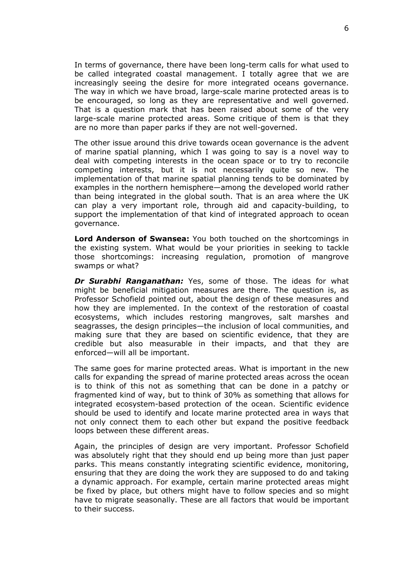In terms of governance, there have been long-term calls for what used to be called integrated coastal management. I totally agree that we are increasingly seeing the desire for more integrated oceans governance. The way in which we have broad, large-scale marine protected areas is to be encouraged, so long as they are representative and well governed. That is a question mark that has been raised about some of the very large-scale marine protected areas. Some critique of them is that they are no more than paper parks if they are not well-governed.

The other issue around this drive towards ocean governance is the advent of marine spatial planning, which I was going to say is a novel way to deal with competing interests in the ocean space or to try to reconcile competing interests, but it is not necessarily quite so new. The implementation of that marine spatial planning tends to be dominated by examples in the northern hemisphere—among the developed world rather than being integrated in the global south. That is an area where the UK can play a very important role, through aid and capacity-building, to support the implementation of that kind of integrated approach to ocean governance.

**Lord Anderson of Swansea:** You both touched on the shortcomings in the existing system. What would be your priorities in seeking to tackle those shortcomings: increasing regulation, promotion of mangrove swamps or what?

*Dr Surabhi Ranganathan:* Yes, some of those. The ideas for what might be beneficial mitigation measures are there. The question is, as Professor Schofield pointed out, about the design of these measures and how they are implemented. In the context of the restoration of coastal ecosystems, which includes restoring mangroves, salt marshes and seagrasses, the design principles—the inclusion of local communities, and making sure that they are based on scientific evidence, that they are credible but also measurable in their impacts, and that they are enforced—will all be important.

The same goes for marine protected areas. What is important in the new calls for expanding the spread of marine protected areas across the ocean is to think of this not as something that can be done in a patchy or fragmented kind of way, but to think of 30% as something that allows for integrated ecosystem-based protection of the ocean. Scientific evidence should be used to identify and locate marine protected area in ways that not only connect them to each other but expand the positive feedback loops between these different areas.

Again, the principles of design are very important. Professor Schofield was absolutely right that they should end up being more than just paper parks. This means constantly integrating scientific evidence, monitoring, ensuring that they are doing the work they are supposed to do and taking a dynamic approach. For example, certain marine protected areas might be fixed by place, but others might have to follow species and so might have to migrate seasonally. These are all factors that would be important to their success.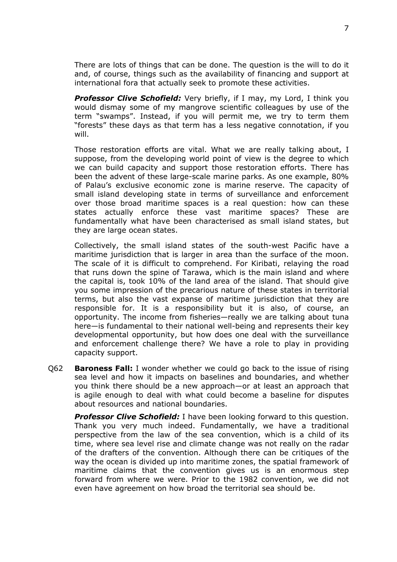There are lots of things that can be done. The question is the will to do it and, of course, things such as the availability of financing and support at international fora that actually seek to promote these activities.

*Professor Clive Schofield:* Very briefly, if I may, my Lord, I think you would dismay some of my mangrove scientific colleagues by use of the term "swamps". Instead, if you will permit me, we try to term them "forests" these days as that term has a less negative connotation, if you will.

Those restoration efforts are vital. What we are really talking about, I suppose, from the developing world point of view is the degree to which we can build capacity and support those restoration efforts. There has been the advent of these large-scale marine parks. As one example, 80% of Palau's exclusive economic zone is marine reserve. The capacity of small island developing state in terms of surveillance and enforcement over those broad maritime spaces is a real question: how can these states actually enforce these vast maritime spaces? These are fundamentally what have been characterised as small island states, but they are large ocean states.

Collectively, the small island states of the south-west Pacific have a maritime jurisdiction that is larger in area than the surface of the moon. The scale of it is difficult to comprehend. For Kiribati, relaying the road that runs down the spine of Tarawa, which is the main island and where the capital is, took 10% of the land area of the island. That should give you some impression of the precarious nature of these states in territorial terms, but also the vast expanse of maritime jurisdiction that they are responsible for. It is a responsibility but it is also, of course, an opportunity. The income from fisheries—really we are talking about tuna here—is fundamental to their national well-being and represents their key developmental opportunity, but how does one deal with the surveillance and enforcement challenge there? We have a role to play in providing capacity support.

Q62 **Baroness Fall:** I wonder whether we could go back to the issue of rising sea level and how it impacts on baselines and boundaries, and whether you think there should be a new approach—or at least an approach that is agile enough to deal with what could become a baseline for disputes about resources and national boundaries.

*Professor Clive Schofield:* I have been looking forward to this question. Thank you very much indeed. Fundamentally, we have a traditional perspective from the law of the sea convention, which is a child of its time, where sea level rise and climate change was not really on the radar of the drafters of the convention. Although there can be critiques of the way the ocean is divided up into maritime zones, the spatial framework of maritime claims that the convention gives us is an enormous step forward from where we were. Prior to the 1982 convention, we did not even have agreement on how broad the territorial sea should be.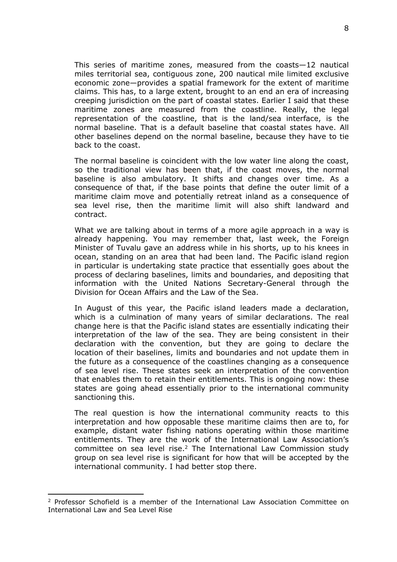This series of maritime zones, measured from the coasts—12 nautical miles territorial sea, contiguous zone, 200 nautical mile limited exclusive economic zone—provides a spatial framework for the extent of maritime claims. This has, to a large extent, brought to an end an era of increasing creeping jurisdiction on the part of coastal states. Earlier I said that these maritime zones are measured from the coastline. Really, the legal representation of the coastline, that is the land/sea interface, is the normal baseline. That is a default baseline that coastal states have. All other baselines depend on the normal baseline, because they have to tie back to the coast.

The normal baseline is coincident with the low water line along the coast, so the traditional view has been that, if the coast moves, the normal baseline is also ambulatory. It shifts and changes over time. As a consequence of that, if the base points that define the outer limit of a maritime claim move and potentially retreat inland as a consequence of sea level rise, then the maritime limit will also shift landward and contract.

What we are talking about in terms of a more agile approach in a way is already happening. You may remember that, last week, the Foreign Minister of Tuvalu gave an address while in his shorts, up to his knees in ocean, standing on an area that had been land. The Pacific island region in particular is undertaking state practice that essentially goes about the process of declaring baselines, limits and boundaries, and depositing that information with the United Nations Secretary-General through the Division for Ocean Affairs and the Law of the Sea.

In August of this year, the Pacific island leaders made a declaration, which is a culmination of many years of similar declarations. The real change here is that the Pacific island states are essentially indicating their interpretation of the law of the sea. They are being consistent in their declaration with the convention, but they are going to declare the location of their baselines, limits and boundaries and not update them in the future as a consequence of the coastlines changing as a consequence of sea level rise. These states seek an interpretation of the convention that enables them to retain their entitlements. This is ongoing now: these states are going ahead essentially prior to the international community sanctioning this.

The real question is how the international community reacts to this interpretation and how opposable these maritime claims then are to, for example, distant water fishing nations operating within those maritime entitlements. They are the work of the International Law Association's committee on sea level rise.<sup>2</sup> The International Law Commission study group on sea level rise is significant for how that will be accepted by the international community. I had better stop there.

<sup>2</sup> Professor Schofield is a member of the International Law Association Committee on International Law and Sea Level Rise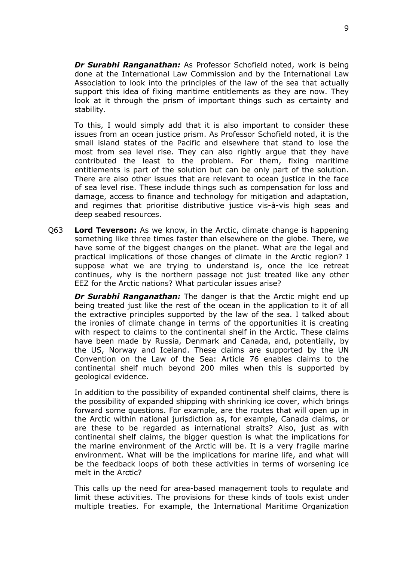*Dr Surabhi Ranganathan:* As Professor Schofield noted, work is being done at the International Law Commission and by the International Law Association to look into the principles of the law of the sea that actually support this idea of fixing maritime entitlements as they are now. They look at it through the prism of important things such as certainty and stability.

To this, I would simply add that it is also important to consider these issues from an ocean justice prism. As Professor Schofield noted, it is the small island states of the Pacific and elsewhere that stand to lose the most from sea level rise. They can also rightly argue that they have contributed the least to the problem. For them, fixing maritime entitlements is part of the solution but can be only part of the solution. There are also other issues that are relevant to ocean justice in the face of sea level rise. These include things such as compensation for loss and damage, access to finance and technology for mitigation and adaptation, and regimes that prioritise distributive justice vis-à-vis high seas and deep seabed resources.

Q63 **Lord Teverson:** As we know, in the Arctic, climate change is happening something like three times faster than elsewhere on the globe. There, we have some of the biggest changes on the planet. What are the legal and practical implications of those changes of climate in the Arctic region? I suppose what we are trying to understand is, once the ice retreat continues, why is the northern passage not just treated like any other EEZ for the Arctic nations? What particular issues arise?

*Dr Surabhi Ranganathan:* The danger is that the Arctic might end up being treated just like the rest of the ocean in the application to it of all the extractive principles supported by the law of the sea. I talked about the ironies of climate change in terms of the opportunities it is creating with respect to claims to the continental shelf in the Arctic. These claims have been made by Russia, Denmark and Canada, and, potentially, by the US, Norway and Iceland. These claims are supported by the UN Convention on the Law of the Sea: Article 76 enables claims to the continental shelf much beyond 200 miles when this is supported by geological evidence.

In addition to the possibility of expanded continental shelf claims, there is the possibility of expanded shipping with shrinking ice cover, which brings forward some questions. For example, are the routes that will open up in the Arctic within national jurisdiction as, for example, Canada claims, or are these to be regarded as international straits? Also, just as with continental shelf claims, the bigger question is what the implications for the marine environment of the Arctic will be. It is a very fragile marine environment. What will be the implications for marine life, and what will be the feedback loops of both these activities in terms of worsening ice melt in the Arctic?

This calls up the need for area-based management tools to regulate and limit these activities. The provisions for these kinds of tools exist under multiple treaties. For example, the International Maritime Organization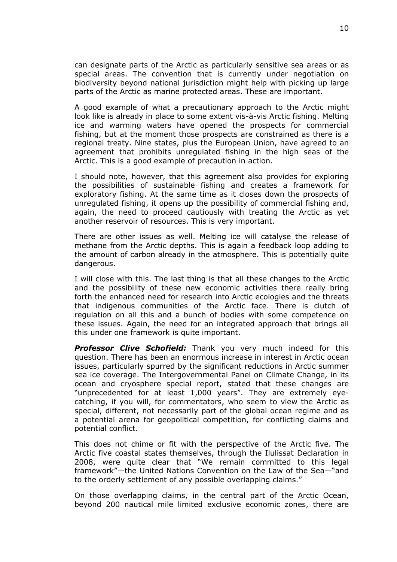can designate parts of the Arctic as particularly sensitive sea areas or as special areas. The convention that is currently under negotiation on biodiversity beyond national jurisdiction might help with picking up large parts of the Arctic as marine protected areas. These are important.

A good example of what a precautionary approach to the Arctic might look like is already in place to some extent vis-à-vis Arctic fishing. Melting ice and warming waters have opened the prospects for commercial fishing, but at the moment those prospects are constrained as there is a regional treaty. Nine states, plus the European Union, have agreed to an agreement that prohibits unregulated fishing in the high seas of the Arctic. This is a good example of precaution in action.

I should note, however, that this agreement also provides for exploring the possibilities of sustainable fishing and creates a framework for exploratory fishing. At the same time as it closes down the prospects of unregulated fishing, it opens up the possibility of commercial fishing and, again, the need to proceed cautiously with treating the Arctic as yet another reservoir of resources. This is very important.

There are other issues as well. Melting ice will catalyse the release of methane from the Arctic depths. This is again a feedback loop adding to the amount of carbon already in the atmosphere. This is potentially quite dangerous.

I will close with this. The last thing is that all these changes to the Arctic and the possibility of these new economic activities there really bring forth the enhanced need for research into Arctic ecologies and the threats that indigenous communities of the Arctic face. There is clutch of regulation on all this and a bunch of bodies with some competence on these issues. Again, the need for an integrated approach that brings all this under one framework is quite important.

*Professor Clive Schofield:* Thank you very much indeed for this question. There has been an enormous increase in interest in Arctic ocean issues, particularly spurred by the significant reductions in Arctic summer sea ice coverage. The Intergovernmental Panel on Climate Change, in its ocean and cryosphere special report, stated that these changes are "unprecedented for at least 1,000 years". They are extremely eyecatching, if you will, for commentators, who seem to view the Arctic as special, different, not necessarily part of the global ocean regime and as a potential arena for geopolitical competition, for conflicting claims and potential conflict.

This does not chime or fit with the perspective of the Arctic five. The Arctic five coastal states themselves, through the Ilulissat Declaration in 2008, were quite clear that "We remain committed to this legal framework"—the United Nations Convention on the Law of the Sea—"and to the orderly settlement of any possible overlapping claims."

On those overlapping claims, in the central part of the Arctic Ocean, beyond 200 nautical mile limited exclusive economic zones, there are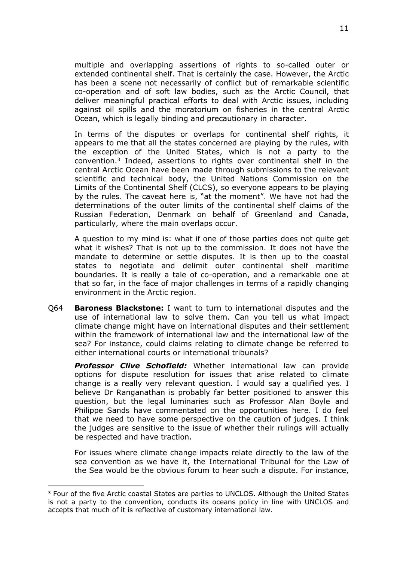multiple and overlapping assertions of rights to so-called outer or extended continental shelf. That is certainly the case. However, the Arctic has been a scene not necessarily of conflict but of remarkable scientific co-operation and of soft law bodies, such as the Arctic Council, that deliver meaningful practical efforts to deal with Arctic issues, including against oil spills and the moratorium on fisheries in the central Arctic Ocean, which is legally binding and precautionary in character.

In terms of the disputes or overlaps for continental shelf rights, it appears to me that all the states concerned are playing by the rules, with the exception of the United States, which is not a party to the convention.<sup>3</sup> Indeed, assertions to rights over continental shelf in the central Arctic Ocean have been made through submissions to the relevant scientific and technical body, the United Nations Commission on the Limits of the Continental Shelf (CLCS), so everyone appears to be playing by the rules. The caveat here is, "at the moment". We have not had the determinations of the outer limits of the continental shelf claims of the Russian Federation, Denmark on behalf of Greenland and Canada, particularly, where the main overlaps occur.

A question to my mind is: what if one of those parties does not quite get what it wishes? That is not up to the commission. It does not have the mandate to determine or settle disputes. It is then up to the coastal states to negotiate and delimit outer continental shelf maritime boundaries. It is really a tale of co-operation, and a remarkable one at that so far, in the face of major challenges in terms of a rapidly changing environment in the Arctic region.

Q64 **Baroness Blackstone:** I want to turn to international disputes and the use of international law to solve them. Can you tell us what impact climate change might have on international disputes and their settlement within the framework of international law and the international law of the sea? For instance, could claims relating to climate change be referred to either international courts or international tribunals?

*Professor Clive Schofield:* Whether international law can provide options for dispute resolution for issues that arise related to climate change is a really very relevant question. I would say a qualified yes. I believe Dr Ranganathan is probably far better positioned to answer this question, but the legal luminaries such as Professor Alan Boyle and Philippe Sands have commentated on the opportunities here. I do feel that we need to have some perspective on the caution of judges. I think the judges are sensitive to the issue of whether their rulings will actually be respected and have traction.

For issues where climate change impacts relate directly to the law of the sea convention as we have it, the International Tribunal for the Law of the Sea would be the obvious forum to hear such a dispute. For instance,

<sup>&</sup>lt;sup>3</sup> Four of the five Arctic coastal States are parties to UNCLOS. Although the United States is not a party to the convention, conducts its oceans policy in line with UNCLOS and accepts that much of it is reflective of customary international law.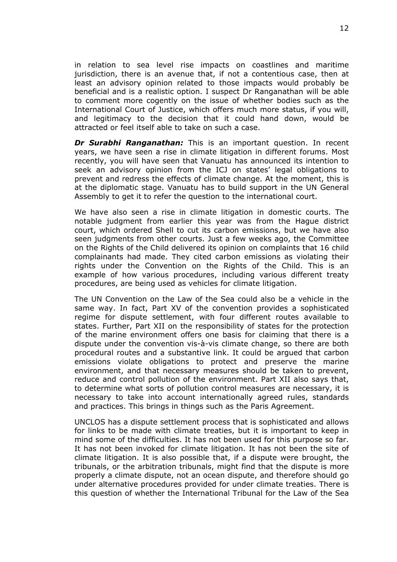in relation to sea level rise impacts on coastlines and maritime jurisdiction, there is an avenue that, if not a contentious case, then at least an advisory opinion related to those impacts would probably be beneficial and is a realistic option. I suspect Dr Ranganathan will be able to comment more cogently on the issue of whether bodies such as the International Court of Justice, which offers much more status, if you will, and legitimacy to the decision that it could hand down, would be attracted or feel itself able to take on such a case.

*Dr Surabhi Ranganathan:* This is an important question. In recent years, we have seen a rise in climate litigation in different forums. Most recently, you will have seen that Vanuatu has announced its intention to seek an advisory opinion from the ICJ on states' legal obligations to prevent and redress the effects of climate change. At the moment, this is at the diplomatic stage. Vanuatu has to build support in the UN General Assembly to get it to refer the question to the international court.

We have also seen a rise in climate litigation in domestic courts. The notable judgment from earlier this year was from the Hague district court, which ordered Shell to cut its carbon emissions, but we have also seen judgments from other courts. Just a few weeks ago, the Committee on the Rights of the Child delivered its opinion on complaints that 16 child complainants had made. They cited carbon emissions as violating their rights under the Convention on the Rights of the Child. This is an example of how various procedures, including various different treaty procedures, are being used as vehicles for climate litigation.

The UN Convention on the Law of the Sea could also be a vehicle in the same way. In fact, Part XV of the convention provides a sophisticated regime for dispute settlement, with four different routes available to states. Further, Part XII on the responsibility of states for the protection of the marine environment offers one basis for claiming that there is a dispute under the convention vis-à-vis climate change, so there are both procedural routes and a substantive link. It could be argued that carbon emissions violate obligations to protect and preserve the marine environment, and that necessary measures should be taken to prevent, reduce and control pollution of the environment. Part XII also says that, to determine what sorts of pollution control measures are necessary, it is necessary to take into account internationally agreed rules, standards and practices. This brings in things such as the Paris Agreement.

UNCLOS has a dispute settlement process that is sophisticated and allows for links to be made with climate treaties, but it is important to keep in mind some of the difficulties. It has not been used for this purpose so far. It has not been invoked for climate litigation. It has not been the site of climate litigation. It is also possible that, if a dispute were brought, the tribunals, or the arbitration tribunals, might find that the dispute is more properly a climate dispute, not an ocean dispute, and therefore should go under alternative procedures provided for under climate treaties. There is this question of whether the International Tribunal for the Law of the Sea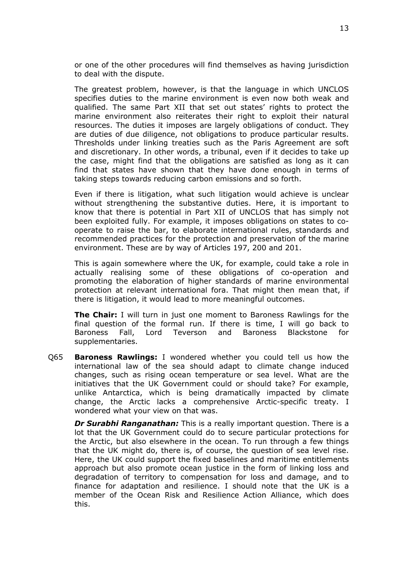or one of the other procedures will find themselves as having jurisdiction to deal with the dispute.

The greatest problem, however, is that the language in which UNCLOS specifies duties to the marine environment is even now both weak and qualified. The same Part XII that set out states' rights to protect the marine environment also reiterates their right to exploit their natural resources. The duties it imposes are largely obligations of conduct. They are duties of due diligence, not obligations to produce particular results. Thresholds under linking treaties such as the Paris Agreement are soft and discretionary. In other words, a tribunal, even if it decides to take up the case, might find that the obligations are satisfied as long as it can find that states have shown that they have done enough in terms of taking steps towards reducing carbon emissions and so forth.

Even if there is litigation, what such litigation would achieve is unclear without strengthening the substantive duties. Here, it is important to know that there is potential in Part XII of UNCLOS that has simply not been exploited fully. For example, it imposes obligations on states to cooperate to raise the bar, to elaborate international rules, standards and recommended practices for the protection and preservation of the marine environment. These are by way of Articles 197, 200 and 201.

This is again somewhere where the UK, for example, could take a role in actually realising some of these obligations of co-operation and promoting the elaboration of higher standards of marine environmental protection at relevant international fora. That might then mean that, if there is litigation, it would lead to more meaningful outcomes.

**The Chair:** I will turn in just one moment to Baroness Rawlings for the final question of the formal run. If there is time, I will go back to Baroness Fall, Lord Teverson and Baroness Blackstone for supplementaries.

Q65 **Baroness Rawlings:** I wondered whether you could tell us how the international law of the sea should adapt to climate change induced changes, such as rising ocean temperature or sea level. What are the initiatives that the UK Government could or should take? For example, unlike Antarctica, which is being dramatically impacted by climate change, the Arctic lacks a comprehensive Arctic-specific treaty. I wondered what your view on that was.

*Dr Surabhi Ranganathan:* This is a really important question. There is a lot that the UK Government could do to secure particular protections for the Arctic, but also elsewhere in the ocean. To run through a few things that the UK might do, there is, of course, the question of sea level rise. Here, the UK could support the fixed baselines and maritime entitlements approach but also promote ocean justice in the form of linking loss and degradation of territory to compensation for loss and damage, and to finance for adaptation and resilience. I should note that the UK is a member of the Ocean Risk and Resilience Action Alliance, which does this.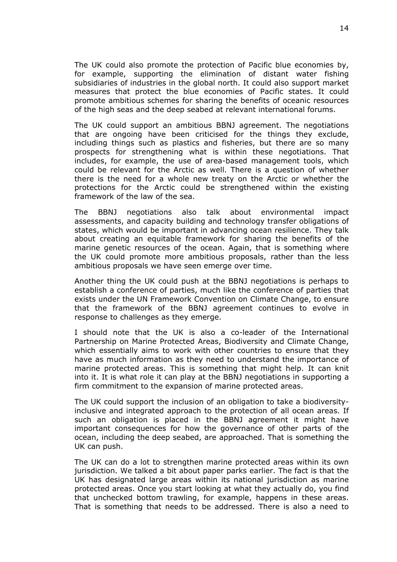The UK could also promote the protection of Pacific blue economies by, for example, supporting the elimination of distant water fishing subsidiaries of industries in the global north. It could also support market measures that protect the blue economies of Pacific states. It could promote ambitious schemes for sharing the benefits of oceanic resources of the high seas and the deep seabed at relevant international forums.

The UK could support an ambitious BBNJ agreement. The negotiations that are ongoing have been criticised for the things they exclude, including things such as plastics and fisheries, but there are so many prospects for strengthening what is within these negotiations. That includes, for example, the use of area-based management tools, which could be relevant for the Arctic as well. There is a question of whether there is the need for a whole new treaty on the Arctic or whether the protections for the Arctic could be strengthened within the existing framework of the law of the sea.

The BBNJ negotiations also talk about environmental impact assessments, and capacity building and technology transfer obligations of states, which would be important in advancing ocean resilience. They talk about creating an equitable framework for sharing the benefits of the marine genetic resources of the ocean. Again, that is something where the UK could promote more ambitious proposals, rather than the less ambitious proposals we have seen emerge over time.

Another thing the UK could push at the BBNJ negotiations is perhaps to establish a conference of parties, much like the conference of parties that exists under the UN Framework Convention on Climate Change, to ensure that the framework of the BBNJ agreement continues to evolve in response to challenges as they emerge.

I should note that the UK is also a co-leader of the International Partnership on Marine Protected Areas, Biodiversity and Climate Change, which essentially aims to work with other countries to ensure that they have as much information as they need to understand the importance of marine protected areas. This is something that might help. It can knit into it. It is what role it can play at the BBNJ negotiations in supporting a firm commitment to the expansion of marine protected areas.

The UK could support the inclusion of an obligation to take a biodiversityinclusive and integrated approach to the protection of all ocean areas. If such an obligation is placed in the BBNJ agreement it might have important consequences for how the governance of other parts of the ocean, including the deep seabed, are approached. That is something the UK can push.

The UK can do a lot to strengthen marine protected areas within its own jurisdiction. We talked a bit about paper parks earlier. The fact is that the UK has designated large areas within its national jurisdiction as marine protected areas. Once you start looking at what they actually do, you find that unchecked bottom trawling, for example, happens in these areas. That is something that needs to be addressed. There is also a need to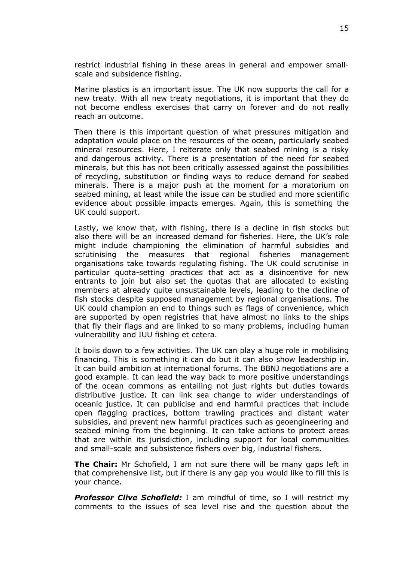restrict industrial fishing in these areas in general and empower smallscale and subsidence fishing.

Marine plastics is an important issue. The UK now supports the call for a new treaty. With all new treaty negotiations, it is important that they do not become endless exercises that carry on forever and do not really reach an outcome.

Then there is this important question of what pressures mitigation and adaptation would place on the resources of the ocean, particularly seabed mineral resources. Here, I reiterate only that seabed mining is a risky and dangerous activity. There is a presentation of the need for seabed minerals, but this has not been critically assessed against the possibilities of recycling, substitution or finding ways to reduce demand for seabed minerals. There is a major push at the moment for a moratorium on seabed mining, at least while the issue can be studied and more scientific evidence about possible impacts emerges. Again, this is something the UK could support.

Lastly, we know that, with fishing, there is a decline in fish stocks but also there will be an increased demand for fisheries. Here, the UK's role might include championing the elimination of harmful subsidies and scrutinising the measures that regional fisheries management organisations take towards regulating fishing. The UK could scrutinise in particular quota-setting practices that act as a disincentive for new entrants to join but also set the quotas that are allocated to existing members at already quite unsustainable levels, leading to the decline of fish stocks despite supposed management by regional organisations. The UK could champion an end to things such as flags of convenience, which are supported by open registries that have almost no links to the ships that fly their flags and are linked to so many problems, including human vulnerability and IUU fishing et cetera.

It boils down to a few activities. The UK can play a huge role in mobilising financing. This is something it can do but it can also show leadership in. It can build ambition at international forums. The BBNJ negotiations are a good example. It can lead the way back to more positive understandings of the ocean commons as entailing not just rights but duties towards distributive justice. It can link sea change to wider understandings of oceanic justice. It can publicise and end harmful practices that include open flagging practices, bottom trawling practices and distant water subsidies, and prevent new harmful practices such as geoengineering and seabed mining from the beginning. It can take actions to protect areas that are within its jurisdiction, including support for local communities and small-scale and subsistence fishers over big, industrial fishers.

**The Chair:** Mr Schofield, I am not sure there will be many gaps left in that comprehensive list, but if there is any gap you would like to fill this is your chance.

*Professor Clive Schofield:* I am mindful of time, so I will restrict my comments to the issues of sea level rise and the question about the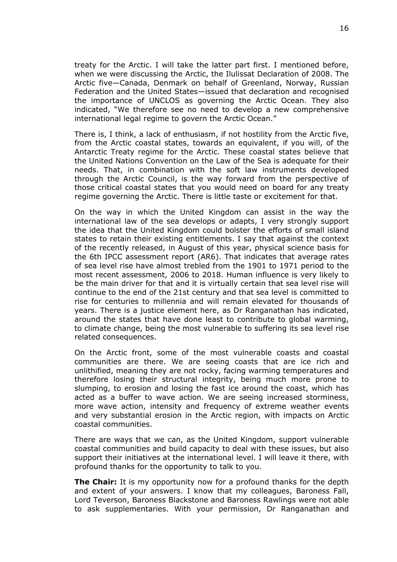treaty for the Arctic. I will take the latter part first. I mentioned before, when we were discussing the Arctic, the Ilulissat Declaration of 2008. The Arctic five—Canada, Denmark on behalf of Greenland, Norway, Russian Federation and the United States—issued that declaration and recognised the importance of UNCLOS as governing the Arctic Ocean. They also indicated, "We therefore see no need to develop a new comprehensive international legal regime to govern the Arctic Ocean."

There is, I think, a lack of enthusiasm, if not hostility from the Arctic five, from the Arctic coastal states, towards an equivalent, if you will, of the Antarctic Treaty regime for the Arctic. These coastal states believe that the United Nations Convention on the Law of the Sea is adequate for their needs. That, in combination with the soft law instruments developed through the Arctic Council, is the way forward from the perspective of those critical coastal states that you would need on board for any treaty regime governing the Arctic. There is little taste or excitement for that.

On the way in which the United Kingdom can assist in the way the international law of the sea develops or adapts, I very strongly support the idea that the United Kingdom could bolster the efforts of small island states to retain their existing entitlements. I say that against the context of the recently released, in August of this year, physical science basis for the 6th IPCC assessment report (AR6). That indicates that average rates of sea level rise have almost trebled from the 1901 to 1971 period to the most recent assessment, 2006 to 2018. Human influence is very likely to be the main driver for that and it is virtually certain that sea level rise will continue to the end of the 21st century and that sea level is committed to rise for centuries to millennia and will remain elevated for thousands of years. There is a justice element here, as Dr Ranganathan has indicated, around the states that have done least to contribute to global warming, to climate change, being the most vulnerable to suffering its sea level rise related consequences.

On the Arctic front, some of the most vulnerable coasts and coastal communities are there. We are seeing coasts that are ice rich and unlithified, meaning they are not rocky, facing warming temperatures and therefore losing their structural integrity, being much more prone to slumping, to erosion and losing the fast ice around the coast, which has acted as a buffer to wave action. We are seeing increased storminess, more wave action, intensity and frequency of extreme weather events and very substantial erosion in the Arctic region, with impacts on Arctic coastal communities.

There are ways that we can, as the United Kingdom, support vulnerable coastal communities and build capacity to deal with these issues, but also support their initiatives at the international level. I will leave it there, with profound thanks for the opportunity to talk to you.

**The Chair:** It is my opportunity now for a profound thanks for the depth and extent of your answers. I know that my colleagues, Baroness Fall, Lord Teverson, Baroness Blackstone and Baroness Rawlings were not able to ask supplementaries. With your permission, Dr Ranganathan and